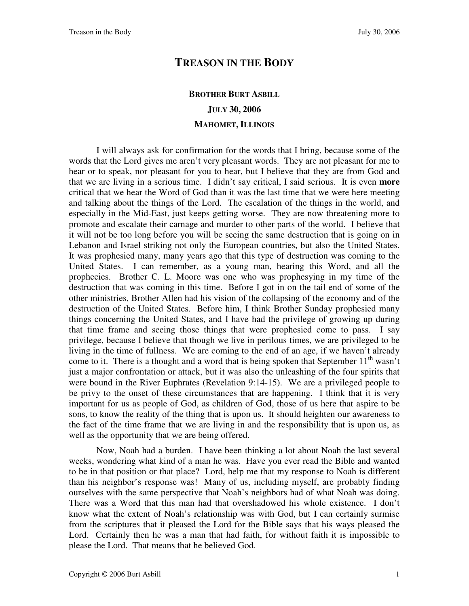## **TREASON IN THE BODY**

## **BROTHER BURT ASBILL JULY 30, 2006 MAHOMET, ILLINOIS**

I will always ask for confirmation for the words that I bring, because some of the words that the Lord gives me aren't very pleasant words. They are not pleasant for me to hear or to speak, nor pleasant for you to hear, but I believe that they are from God and that we are living in a serious time. I didn't say critical, I said serious. It is even **more** critical that we hear the Word of God than it was the last time that we were here meeting and talking about the things of the Lord. The escalation of the things in the world, and especially in the Mid-East, just keeps getting worse. They are now threatening more to promote and escalate their carnage and murder to other parts of the world. I believe that it will not be too long before you will be seeing the same destruction that is going on in Lebanon and Israel striking not only the European countries, but also the United States. It was prophesied many, many years ago that this type of destruction was coming to the United States. I can remember, as a young man, hearing this Word, and all the prophecies. Brother C. L. Moore was one who was prophesying in my time of the destruction that was coming in this time. Before I got in on the tail end of some of the other ministries, Brother Allen had his vision of the collapsing of the economy and of the destruction of the United States. Before him, I think Brother Sunday prophesied many things concerning the United States, and I have had the privilege of growing up during that time frame and seeing those things that were prophesied come to pass. I say privilege, because I believe that though we live in perilous times, we are privileged to be living in the time of fullness. We are coming to the end of an age, if we haven't already come to it. There is a thought and a word that is being spoken that September  $11<sup>th</sup>$  wasn't just a major confrontation or attack, but it was also the unleashing of the four spirits that were bound in the River Euphrates (Revelation 9:14-15). We are a privileged people to be privy to the onset of these circumstances that are happening. I think that it is very important for us as people of God, as children of God, those of us here that aspire to be sons, to know the reality of the thing that is upon us. It should heighten our awareness to the fact of the time frame that we are living in and the responsibility that is upon us, as well as the opportunity that we are being offered.

Now, Noah had a burden. I have been thinking a lot about Noah the last several weeks, wondering what kind of a man he was. Have you ever read the Bible and wanted to be in that position or that place? Lord, help me that my response to Noah is different than his neighbor's response was! Many of us, including myself, are probably finding ourselves with the same perspective that Noah's neighbors had of what Noah was doing. There was a Word that this man had that overshadowed his whole existence. I don't know what the extent of Noah's relationship was with God, but I can certainly surmise from the scriptures that it pleased the Lord for the Bible says that his ways pleased the Lord. Certainly then he was a man that had faith, for without faith it is impossible to please the Lord. That means that he believed God.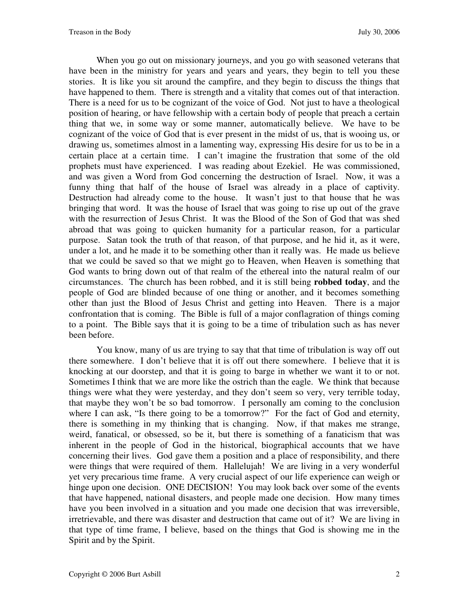When you go out on missionary journeys, and you go with seasoned veterans that have been in the ministry for years and years and years, they begin to tell you these stories. It is like you sit around the campfire, and they begin to discuss the things that have happened to them. There is strength and a vitality that comes out of that interaction. There is a need for us to be cognizant of the voice of God. Not just to have a theological position of hearing, or have fellowship with a certain body of people that preach a certain thing that we, in some way or some manner, automatically believe. We have to be cognizant of the voice of God that is ever present in the midst of us, that is wooing us, or drawing us, sometimes almost in a lamenting way, expressing His desire for us to be in a certain place at a certain time. I can't imagine the frustration that some of the old prophets must have experienced. I was reading about Ezekiel. He was commissioned, and was given a Word from God concerning the destruction of Israel. Now, it was a funny thing that half of the house of Israel was already in a place of captivity. Destruction had already come to the house. It wasn't just to that house that he was bringing that word. It was the house of Israel that was going to rise up out of the grave with the resurrection of Jesus Christ. It was the Blood of the Son of God that was shed abroad that was going to quicken humanity for a particular reason, for a particular purpose. Satan took the truth of that reason, of that purpose, and he hid it, as it were, under a lot, and he made it to be something other than it really was. He made us believe that we could be saved so that we might go to Heaven, when Heaven is something that God wants to bring down out of that realm of the ethereal into the natural realm of our circumstances. The church has been robbed, and it is still being **robbed today**, and the people of God are blinded because of one thing or another, and it becomes something other than just the Blood of Jesus Christ and getting into Heaven. There is a major confrontation that is coming. The Bible is full of a major conflagration of things coming to a point. The Bible says that it is going to be a time of tribulation such as has never been before.

You know, many of us are trying to say that that time of tribulation is way off out there somewhere. I don't believe that it is off out there somewhere. I believe that it is knocking at our doorstep, and that it is going to barge in whether we want it to or not. Sometimes I think that we are more like the ostrich than the eagle. We think that because things were what they were yesterday, and they don't seem so very, very terrible today, that maybe they won't be so bad tomorrow. I personally am coming to the conclusion where I can ask, "Is there going to be a tomorrow?" For the fact of God and eternity, there is something in my thinking that is changing. Now, if that makes me strange, weird, fanatical, or obsessed, so be it, but there is something of a fanaticism that was inherent in the people of God in the historical, biographical accounts that we have concerning their lives. God gave them a position and a place of responsibility, and there were things that were required of them. Hallelujah! We are living in a very wonderful yet very precarious time frame. A very crucial aspect of our life experience can weigh or hinge upon one decision. ONE DECISION! You may look back over some of the events that have happened, national disasters, and people made one decision. How many times have you been involved in a situation and you made one decision that was irreversible, irretrievable, and there was disaster and destruction that came out of it? We are living in that type of time frame, I believe, based on the things that God is showing me in the Spirit and by the Spirit.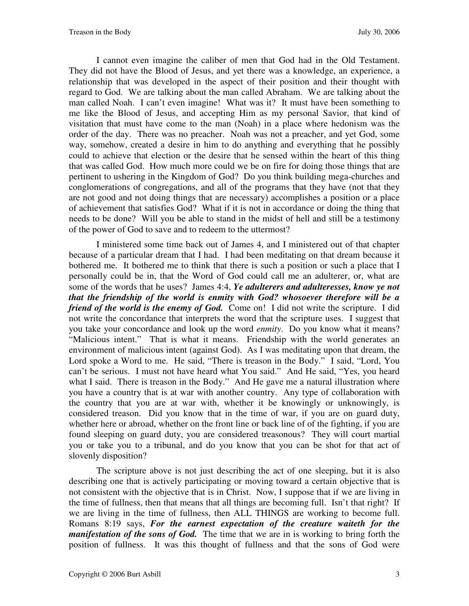I cannot even imagine the caliber of men that God had in the Old Testament. They did not have the Blood of Jesus, and yet there was a knowledge, an experience, a relationship that was developed in the aspect of their position and their thought with regard to God. We are talking about the man called Abraham. We are talking about the man called Noah. I can't even imagine! What was it? It must have been something to me like the Blood of Jesus, and accepting Him as my personal Savior, that kind of visitation that must have come to the man (Noah) in a place where hedonism was the order of the day. There was no preacher. Noah was not a preacher, and yet God, some way, somehow, created a desire in him to do anything and everything that he possibly could to achieve that election or the desire that he sensed within the heart of this thing that was called God. How much more could we be on fire for doing those things that are pertinent to ushering in the Kingdom of God?Do you think building mega-churches and conglomerations of congregations, and all of the programs that they have (not that they are not good and not doing things that are necessary) accomplishes a position or a place of achievement that satisfies God? What if it is not in accordance or doing the thing that needs to be done? Will you be able to stand in the midst of hell and still be a testimony of the power of God to save and to redeem to the uttermost?

I ministered some time back out of James 4, and I ministered out of that chapter because of a particular dream that I had. I had been meditating on that dream because it bothered me. It bothered me to think that there is such a position or such a place that I personally could be in, that the Word of God could call me an adulterer, or, what are some of the words that he uses? James 4:4, *Ye adulterers and adulteresses, know ye not that the friendship of the world is enmity with God? whosoever therefore will be a friend of the world is the enemy of God.* Come on! I did not write the scripture. I did not write the concordance that interprets the word that the scripture uses. I suggest that you take your concordance and look up the word *enmity*. Do you know what it means? "Malicious intent." That is what it means. Friendship with the world generates an environment of malicious intent (against God). As I was meditating upon that dream, the Lord spoke a Word to me. He said, "There is treason in the Body." I said, "Lord, You can't be serious. I must not have heard what You said." And He said, "Yes, you heard what I said. There is treason in the Body." And He gave me a natural illustration where you have a country that is at war with another country. Any type of collaboration with the country that you are at war with, whether it be knowingly or unknowingly, is considered treason. Did you know that in the time of war, if you are on guard duty, whether here or abroad, whether on the front line or back line of of the fighting, if you are found sleeping on guard duty, you are considered treasonous? They will court martial you or take you to a tribunal, and do you know that you can be shot for that act of slovenly disposition?

The scripture above is not just describing the act of one sleeping, but it is also describing one that is actively participating or moving toward a certain objective that is not consistent with the objective that is in Christ. Now, I suppose that if we are living in the time of fullness, then that means that all things are becoming full. Isn't that right? If we are living in the time of fullness, then ALL THINGS are working to become full. Romans 8:19 says, *For the earnest expectation of the creature waiteth for the manifestation of the sons of God.* The time that we are in is working to bring forth the position of fullness. It was this thought of fullness and that the sons of God were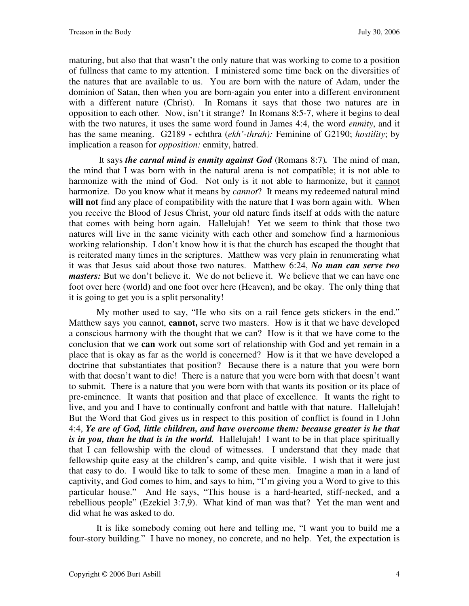maturing, but also that that wasn't the only nature that was working to come to a position of fullness that came to my attention. I ministered some time back on the diversities of the natures that are available to us. You are born with the nature of Adam, under the dominion of Satan, then when you are born-again you enter into a different environment with a different nature (Christ). In Romans it says that those two natures are in opposition to each other. Now, isn't it strange? In Romans 8:5-7, where it begins to deal with the two natures, it uses the same word found in James 4:4, the word *enmity*, and it has the same meaning. G2189 **-** echthra (*ekh'-thrah):* Feminine of G2190; *hostility*; by implication a reason for *opposition:* enmity, hatred.

 It says *the carnal mind is enmity against God* (Romans 8:7)*.* The mind of man, the mind that I was born with in the natural arena is not compatible; it is not able to harmonize with the mind of God. Not only is it not able to harmonize, but it cannot harmonize. Do you know what it means by *cannot*? It means my redeemed natural mind **will not** find any place of compatibility with the nature that I was born again with. When you receive the Blood of Jesus Christ, your old nature finds itself at odds with the nature that comes with being born again. Hallelujah! Yet we seem to think that those two natures will live in the same vicinity with each other and somehow find a harmonious working relationship. I don't know how it is that the church has escaped the thought that is reiterated many times in the scriptures. Matthew was very plain in renumerating what it was that Jesus said about those two natures. Matthew 6:24, *No man can serve two masters:* But we don't believe it. We do not believe it. We believe that we can have one foot over here (world) and one foot over here (Heaven), and be okay. The only thing that it is going to get you is a split personality!

My mother used to say, "He who sits on a rail fence gets stickers in the end." Matthew says you cannot, **cannot,** serve two masters. How is it that we have developed a conscious harmony with the thought that we can? How is it that we have come to the conclusion that we **can** work out some sort of relationship with God and yet remain in a place that is okay as far as the world is concerned? How is it that we have developed a doctrine that substantiates that position? Because there is a nature that you were born with that doesn't want to die! There is a nature that you were born with that doesn't want to submit. There is a nature that you were born with that wants its position or its place of pre-eminence. It wants that position and that place of excellence. It wants the right to live, and you and I have to continually confront and battle with that nature. Hallelujah! But the Word that God gives us in respect to this position of conflict is found in I John 4:4, *Ye are of God, little children, and have overcome them: because greater is he that is in you, than he that is in the world.* Hallelujah! I want to be in that place spiritually that I can fellowship with the cloud of witnesses. I understand that they made that fellowship quite easy at the children's camp, and quite visible. I wish that it were just that easy to do. I would like to talk to some of these men. Imagine a man in a land of captivity, and God comes to him, and says to him, "I'm giving you a Word to give to this particular house." And He says, "This house is a hard-hearted, stiff-necked, and a rebellious people" (Ezekiel 3:7,9). What kind of man was that? Yet the man went and did what he was asked to do.

It is like somebody coming out here and telling me, "I want you to build me a four-story building." I have no money, no concrete, and no help. Yet, the expectation is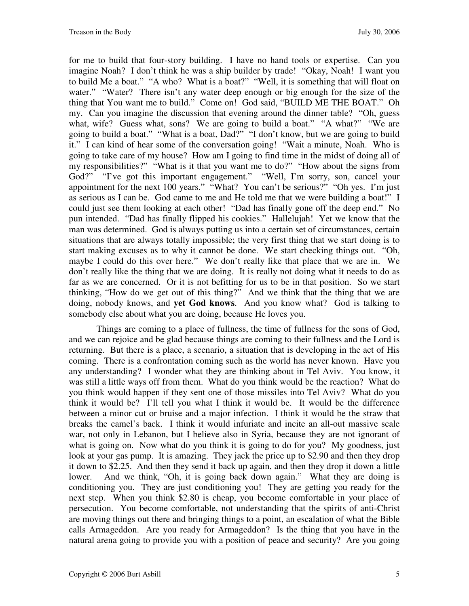for me to build that four-story building. I have no hand tools or expertise. Can you imagine Noah? I don't think he was a ship builder by trade! "Okay, Noah! I want you to build Me a boat." "A who? What is a boat?" "Well, it is something that will float on water." "Water? There isn't any water deep enough or big enough for the size of the thing that You want me to build." Come on! God said, "BUILD ME THE BOAT." Oh my. Can you imagine the discussion that evening around the dinner table? "Oh, guess what, wife? Guess what, sons? We are going to build a boat." "A what?" "We are going to build a boat." "What is a boat, Dad?" "I don't know, but we are going to build it." I can kind of hear some of the conversation going! "Wait a minute, Noah. Who is going to take care of my house? How am I going to find time in the midst of doing all of my responsibilities?" "What is it that you want me to do?" "How about the signs from God?" "I've got this important engagement." "Well, I'm sorry, son, cancel your appointment for the next 100 years." "What? You can't be serious?" "Oh yes. I'm just as serious as I can be. God came to me and He told me that we were building a boat!" I could just see them looking at each other! "Dad has finally gone off the deep end." No pun intended. "Dad has finally flipped his cookies." Hallelujah! Yet we know that the man was determined. God is always putting us into a certain set of circumstances, certain situations that are always totally impossible; the very first thing that we start doing is to start making excuses as to why it cannot be done. We start checking things out. "Oh, maybe I could do this over here." We don't really like that place that we are in. We don't really like the thing that we are doing. It is really not doing what it needs to do as far as we are concerned. Or it is not befitting for us to be in that position. So we start thinking, "How do we get out of this thing?" And we think that the thing that we are doing, nobody knows, and **yet God knows**. And you know what? God is talking to somebody else about what you are doing, because He loves you.

Things are coming to a place of fullness, the time of fullness for the sons of God, and we can rejoice and be glad because things are coming to their fullness and the Lord is returning. But there is a place, a scenario, a situation that is developing in the act of His coming. There is a confrontation coming such as the world has never known. Have you any understanding? I wonder what they are thinking about in Tel Aviv. You know, it was still a little ways off from them. What do you think would be the reaction? What do you think would happen if they sent one of those missiles into Tel Aviv? What do you think it would be? I'll tell you what I think it would be. It would be the difference between a minor cut or bruise and a major infection. I think it would be the straw that breaks the camel's back. I think it would infuriate and incite an all-out massive scale war, not only in Lebanon, but I believe also in Syria, because they are not ignorant of what is going on. Now what do you think it is going to do for you? My goodness, just look at your gas pump. It is amazing. They jack the price up to \$2.90 and then they drop it down to \$2.25. And then they send it back up again, and then they drop it down a little lower. And we think, "Oh, it is going back down again." What they are doing is conditioning you. They are just conditioning you! They are getting you ready for the next step. When you think \$2.80 is cheap, you become comfortable in your place of persecution. You become comfortable, not understanding that the spirits of anti-Christ are moving things out there and bringing things to a point, an escalation of what the Bible calls Armageddon. Are you ready for Armageddon? Is the thing that you have in the natural arena going to provide you with a position of peace and security? Are you going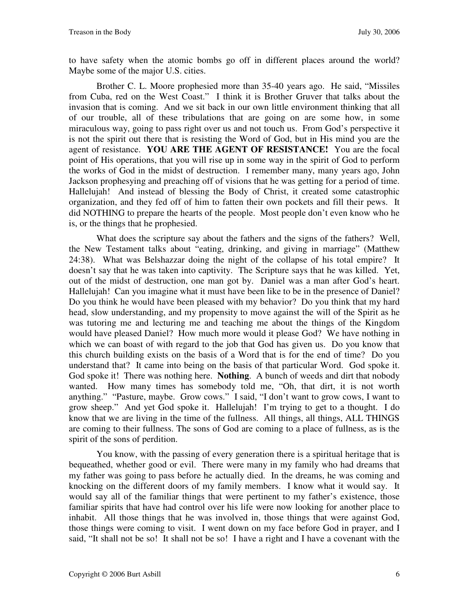to have safety when the atomic bombs go off in different places around the world? Maybe some of the major U.S. cities.

Brother C. L. Moore prophesied more than 35-40 years ago. He said, "Missiles from Cuba, red on the West Coast." I think it is Brother Gruver that talks about the invasion that is coming. And we sit back in our own little environment thinking that all of our trouble, all of these tribulations that are going on are some how, in some miraculous way, going to pass right over us and not touch us. From God's perspective it is not the spirit out there that is resisting the Word of God, but in His mind you are the agent of resistance. **YOU ARE THE AGENT OF RESISTANCE!** You are the focal point of His operations, that you will rise up in some way in the spirit of God to perform the works of God in the midst of destruction. I remember many, many years ago, John Jackson prophesying and preaching off of visions that he was getting for a period of time. Hallelujah! And instead of blessing the Body of Christ, it created some catastrophic organization, and they fed off of him to fatten their own pockets and fill their pews. It did NOTHING to prepare the hearts of the people. Most people don't even know who he is, or the things that he prophesied.

What does the scripture say about the fathers and the signs of the fathers? Well, the New Testament talks about "eating, drinking, and giving in marriage" (Matthew 24:38). What was Belshazzar doing the night of the collapse of his total empire? It doesn't say that he was taken into captivity. The Scripture says that he was killed. Yet, out of the midst of destruction, one man got by. Daniel was a man after God's heart. Hallelujah! Can you imagine what it must have been like to be in the presence of Daniel? Do you think he would have been pleased with my behavior? Do you think that my hard head, slow understanding, and my propensity to move against the will of the Spirit as he was tutoring me and lecturing me and teaching me about the things of the Kingdom would have pleased Daniel? How much more would it please God? We have nothing in which we can boast of with regard to the job that God has given us. Do you know that this church building exists on the basis of a Word that is for the end of time? Do you understand that? It came into being on the basis of that particular Word. God spoke it. God spoke it! There was nothing here. **Nothing**. A bunch of weeds and dirt that nobody wanted. How many times has somebody told me, "Oh, that dirt, it is not worth anything." "Pasture, maybe. Grow cows." I said, "I don't want to grow cows, I want to grow sheep." And yet God spoke it. Hallelujah! I'm trying to get to a thought. I do know that we are living in the time of the fullness. All things, all things, ALL THINGS are coming to their fullness. The sons of God are coming to a place of fullness, as is the spirit of the sons of perdition.

You know, with the passing of every generation there is a spiritual heritage that is bequeathed, whether good or evil. There were many in my family who had dreams that my father was going to pass before he actually died. In the dreams, he was coming and knocking on the different doors of my family members. I know what it would say. It would say all of the familiar things that were pertinent to my father's existence, those familiar spirits that have had control over his life were now looking for another place to inhabit. All those things that he was involved in, those things that were against God, those things were coming to visit. I went down on my face before God in prayer, and I said, "It shall not be so! It shall not be so! I have a right and I have a covenant with the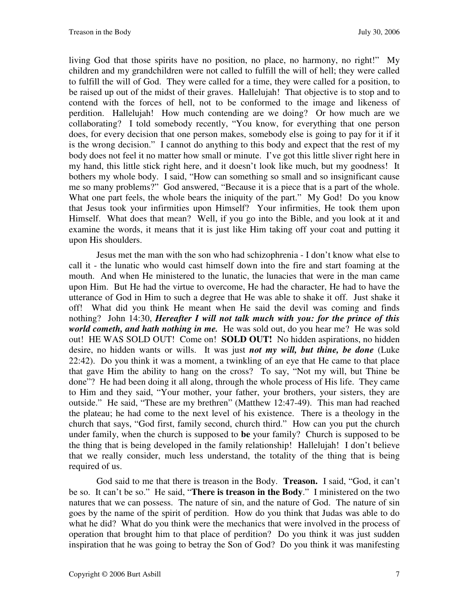living God that those spirits have no position, no place, no harmony, no right!" My children and my grandchildren were not called to fulfill the will of hell; they were called to fulfill the will of God. They were called for a time, they were called for a position, to be raised up out of the midst of their graves. Hallelujah! That objective is to stop and to contend with the forces of hell, not to be conformed to the image and likeness of perdition. Hallelujah! How much contending are we doing? Or how much are we collaborating? I told somebody recently, "You know, for everything that one person does, for every decision that one person makes, somebody else is going to pay for it if it is the wrong decision." I cannot do anything to this body and expect that the rest of my body does not feel it no matter how small or minute. I've got this little sliver right here in my hand, this little stick right here, and it doesn't look like much, but my goodness! It bothers my whole body. I said, "How can something so small and so insignificant cause me so many problems?" God answered, "Because it is a piece that is a part of the whole. What one part feels, the whole bears the iniquity of the part." My God! Do you know that Jesus took your infirmities upon Himself? Your infirmities, He took them upon Himself. What does that mean? Well, if you go into the Bible, and you look at it and examine the words, it means that it is just like Him taking off your coat and putting it upon His shoulders.

Jesus met the man with the son who had schizophrenia - I don't know what else to call it - the lunatic who would cast himself down into the fire and start foaming at the mouth. And when He ministered to the lunatic, the lunacies that were in the man came upon Him. But He had the virtue to overcome, He had the character, He had to have the utterance of God in Him to such a degree that He was able to shake it off. Just shake it off! What did you think He meant when He said the devil was coming and finds nothing? John 14:30, *Hereafter I will not talk much with you: for the prince of this world cometh, and hath nothing in me.* He was sold out, do you hear me? He was sold out! HE WAS SOLD OUT! Come on! **SOLD OUT!** No hidden aspirations, no hidden desire, no hidden wants or wills. It was just *not my will, but thine, be done* (Luke 22:42). Do you think it was a moment, a twinkling of an eye that He came to that place that gave Him the ability to hang on the cross? To say, "Not my will, but Thine be done"? He had been doing it all along, through the whole process of His life. They came to Him and they said, "Your mother, your father, your brothers, your sisters, they are outside." He said, "These are my brethren" (Matthew 12:47-49). This man had reached the plateau; he had come to the next level of his existence. There is a theology in the church that says, "God first, family second, church third." How can you put the church under family, when the church is supposed to **be** your family? Church is supposed to be the thing that is being developed in the family relationship! Hallelujah! I don't believe that we really consider, much less understand, the totality of the thing that is being required of us.

God said to me that there is treason in the Body. **Treason.** I said, "God, it can't be so. It can't be so." He said, "**There is treason in the Body**." I ministered on the two natures that we can possess. The nature of sin, and the nature of God. The nature of sin goes by the name of the spirit of perdition. How do you think that Judas was able to do what he did? What do you think were the mechanics that were involved in the process of operation that brought him to that place of perdition? Do you think it was just sudden inspiration that he was going to betray the Son of God? Do you think it was manifesting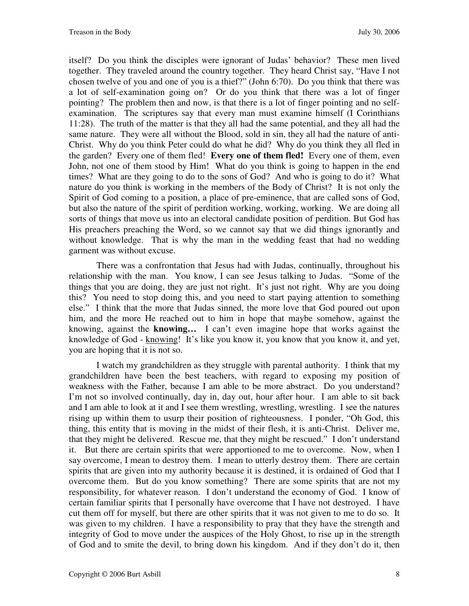itself? Do you think the disciples were ignorant of Judas' behavior? These men lived together. They traveled around the country together. They heard Christ say, "Have I not chosen twelve of you and one of you is a thief?" (John 6:70). Do you think that there was a lot of self-examination going on? Or do you think that there was a lot of finger pointing? The problem then and now, is that there is a lot of finger pointing and no selfexamination. The scriptures say that every man must examine himself (I Corinthians 11:28). The truth of the matter is that they all had the same potential, and they all had the same nature. They were all without the Blood, sold in sin, they all had the nature of anti-Christ. Why do you think Peter could do what he did? Why do you think they all fled in the garden? Every one of them fled! **Every one of them fled!** Every one of them, even John, not one of them stood by Him! What do you think is going to happen in the end times? What are they going to do to the sons of God? And who is going to do it? What nature do you think is working in the members of the Body of Christ? It is not only the Spirit of God coming to a position, a place of pre-eminence, that are called sons of God, but also the nature of the spirit of perdition working, working, working. We are doing all sorts of things that move us into an electoral candidate position of perdition. But God has His preachers preaching the Word, so we cannot say that we did things ignorantly and without knowledge. That is why the man in the wedding feast that had no wedding garment was without excuse.

There was a confrontation that Jesus had with Judas, continually, throughout his relationship with the man. You know, I can see Jesus talking to Judas. "Some of the things that you are doing, they are just not right. It's just not right. Why are you doing this? You need to stop doing this, and you need to start paying attention to something else." I think that the more that Judas sinned, the more love that God poured out upon him, and the more He reached out to him in hope that maybe somehow, against the knowing, against the **knowing…** I can't even imagine hope that works against the knowledge of God - knowing! It's like you know it, you know that you know it, and yet, you are hoping that it is not so.

I watch my grandchildren as they struggle with parental authority. I think that my grandchildren have been the best teachers, with regard to exposing my position of weakness with the Father, because I am able to be more abstract. Do you understand? I'm not so involved continually, day in, day out, hour after hour. I am able to sit back and I am able to look at it and I see them wrestling, wrestling, wrestling. I see the natures rising up within them to usurp their position of righteousness. I ponder, "Oh God, this thing, this entity that is moving in the midst of their flesh, it is anti-Christ. Deliver me, that they might be delivered. Rescue me, that they might be rescued." I don't understand it. But there are certain spirits that were apportioned to me to overcome. Now, when I say overcome, I mean to destroy them. I mean to utterly destroy them. There are certain spirits that are given into my authority because it is destined, it is ordained of God that I overcome them. But do you know something? There are some spirits that are not my responsibility, for whatever reason. I don't understand the economy of God. I know of certain familiar spirits that I personally have overcome that I have not destroyed. I have cut them off for myself, but there are other spirits that it was not given to me to do so. It was given to my children. I have a responsibility to pray that they have the strength and integrity of God to move under the auspices of the Holy Ghost, to rise up in the strength of God and to smite the devil, to bring down his kingdom. And if they don't do it, then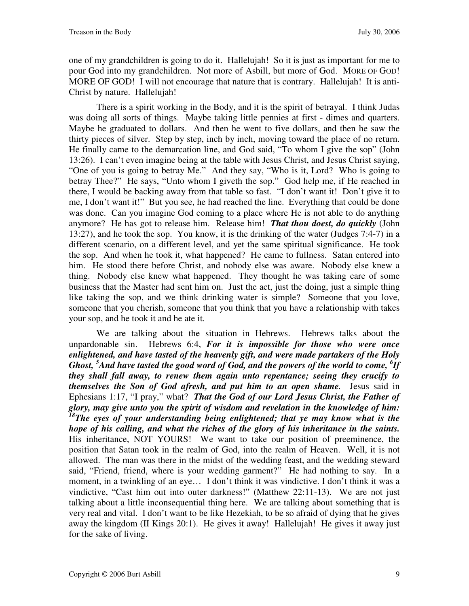one of my grandchildren is going to do it. Hallelujah! So it is just as important for me to pour God into my grandchildren. Not more of Asbill, but more of God. MORE OF GOD! MORE OF GOD! I will not encourage that nature that is contrary. Hallelujah! It is anti-Christ by nature. Hallelujah!

There is a spirit working in the Body, and it is the spirit of betrayal. I think Judas was doing all sorts of things. Maybe taking little pennies at first - dimes and quarters. Maybe he graduated to dollars. And then he went to five dollars, and then he saw the thirty pieces of silver. Step by step, inch by inch, moving toward the place of no return. He finally came to the demarcation line, and God said, "To whom I give the sop" (John 13:26). I can't even imagine being at the table with Jesus Christ, and Jesus Christ saying, "One of you is going to betray Me." And they say, "Who is it, Lord? Who is going to betray Thee?" He says, "Unto whom I giveth the sop." God help me, if He reached in there, I would be backing away from that table so fast. "I don't want it! Don't give it to me, I don't want it!" But you see, he had reached the line. Everything that could be done was done. Can you imagine God coming to a place where He is not able to do anything anymore? He has got to release him. Release him! *That thou doest, do quickly* (John 13:27), and he took the sop. You know, it is the drinking of the water (Judges 7:4-7) in a different scenario, on a different level, and yet the same spiritual significance. He took the sop. And when he took it, what happened? He came to fullness. Satan entered into him. He stood there before Christ, and nobody else was aware. Nobody else knew a thing. Nobody else knew what happened. They thought he was taking care of some business that the Master had sent him on. Just the act, just the doing, just a simple thing like taking the sop, and we think drinking water is simple? Someone that you love, someone that you cherish, someone that you think that you have a relationship with takes your sop, and he took it and he ate it.

We are talking about the situation in Hebrews. Hebrews talks about the unpardonable sin. Hebrews 6:4, *For it is impossible for those who were once enlightened, and have tasted of the heavenly gift, and were made partakers of the Holy Ghost, <sup>5</sup>And have tasted the good word of God, and the powers of the world to come, <sup>6</sup> If they shall fall away, to renew them again unto repentance; seeing they crucify to themselves the Son of God afresh, and put him to an open shame.* Jesus said in Ephesians 1:17, "I pray," what? *That the God of our Lord Jesus Christ, the Father of glory, may give unto you the spirit of wisdom and revelation in the knowledge of him: <sup>18</sup>The eyes of your understanding being enlightened; that ye may know what is the hope of his calling, and what the riches of the glory of his inheritance in the saints.*  His inheritance, NOT YOURS! We want to take our position of preeminence, the position that Satan took in the realm of God, into the realm of Heaven. Well, it is not allowed. The man was there in the midst of the wedding feast, and the wedding steward said, "Friend, friend, where is your wedding garment?" He had nothing to say. In a moment, in a twinkling of an eye… I don't think it was vindictive. I don't think it was a vindictive, "Cast him out into outer darkness!" (Matthew 22:11-13). We are not just talking about a little inconsequential thing here. We are talking about something that is very real and vital. I don't want to be like Hezekiah, to be so afraid of dying that he gives away the kingdom (II Kings 20:1). He gives it away! Hallelujah! He gives it away just for the sake of living.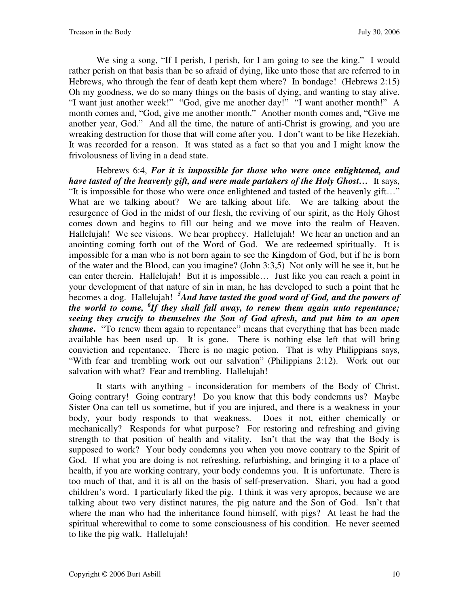We sing a song, "If I perish, I perish, for I am going to see the king." I would rather perish on that basis than be so afraid of dying, like unto those that are referred to in Hebrews, who through the fear of death kept them where? In bondage! (Hebrews 2:15) Oh my goodness, we do so many things on the basis of dying, and wanting to stay alive. "I want just another week!" "God, give me another day!" "I want another month!" A month comes and, "God, give me another month." Another month comes and, "Give me another year, God." And all the time, the nature of anti-Christ is growing, and you are wreaking destruction for those that will come after you. I don't want to be like Hezekiah. It was recorded for a reason. It was stated as a fact so that you and I might know the frivolousness of living in a dead state.

Hebrews 6:4, *For it is impossible for those who were once enlightened, and have tasted of the heavenly gift, and were made partakers of the Holy Ghost…* It says, "It is impossible for those who were once enlightened and tasted of the heavenly gift…" What are we talking about? We are talking about life. We are talking about the resurgence of God in the midst of our flesh, the reviving of our spirit, as the Holy Ghost comes down and begins to fill our being and we move into the realm of Heaven. Hallelujah! We see visions. We hear prophecy. Hallelujah! We hear an unction and an anointing coming forth out of the Word of God. We are redeemed spiritually. It is impossible for a man who is not born again to see the Kingdom of God, but if he is born of the water and the Blood, can you imagine? (John 3:3,5) Not only will he see it, but he can enter therein. Hallelujah! But it is impossible… Just like you can reach a point in your development of that nature of sin in man, he has developed to such a point that he becomes a dog. Hallelujah! *<sup>5</sup>And have tasted the good word of God, and the powers of the world to come, <sup>6</sup> If they shall fall away, to renew them again unto repentance; seeing they crucify to themselves the Son of God afresh, and put him to an open shame***.** "To renew them again to repentance" means that everything that has been made available has been used up. It is gone. There is nothing else left that will bring conviction and repentance. There is no magic potion. That is why Philippians says, "With fear and trembling work out our salvation" (Philippians 2:12). Work out our salvation with what? Fear and trembling. Hallelujah!

It starts with anything - inconsideration for members of the Body of Christ. Going contrary! Going contrary! Do you know that this body condemns us? Maybe Sister Ona can tell us sometime, but if you are injured, and there is a weakness in your body, your body responds to that weakness. Does it not, either chemically or mechanically? Responds for what purpose? For restoring and refreshing and giving strength to that position of health and vitality. Isn't that the way that the Body is supposed to work? Your body condemns you when you move contrary to the Spirit of God. If what you are doing is not refreshing, refurbishing, and bringing it to a place of health, if you are working contrary, your body condemns you. It is unfortunate. There is too much of that, and it is all on the basis of self-preservation. Shari, you had a good children's word. I particularly liked the pig. I think it was very apropos, because we are talking about two very distinct natures, the pig nature and the Son of God. Isn't that where the man who had the inheritance found himself, with pigs? At least he had the spiritual wherewithal to come to some consciousness of his condition. He never seemed to like the pig walk. Hallelujah!